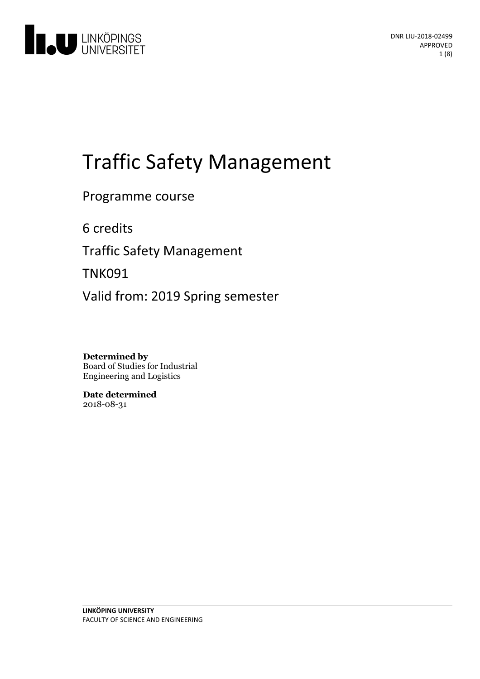

# Traffic Safety Management

Programme course

6 credits

**Traffic Safety Management** 

TNK091

Valid from: 2019 Spring semester

**Determined by** Board of Studies for Industrial Engineering and Logistics

**Date determined** 2018-08-31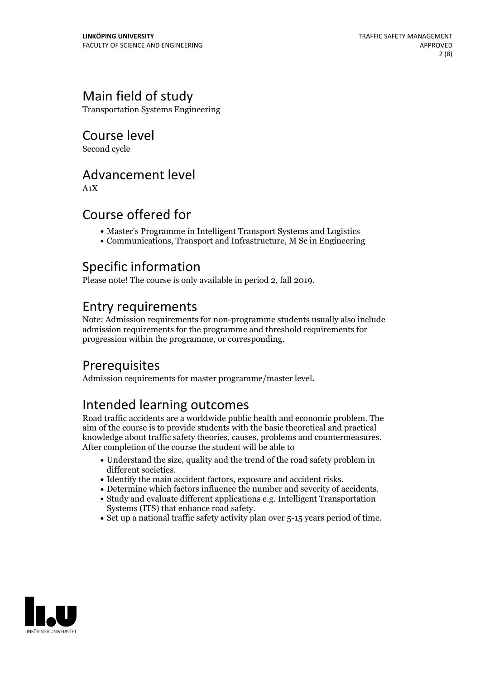# Main field of study

Transportation Systems Engineering

Course level

Second cycle

### Advancement level

A1X

## Course offered for

- Master's Programme in Intelligent Transport Systems and Logistics
- Communications, Transport and Infrastructure, M Sc in Engineering

# Specific information

Please note! The course is only available in period 2, fall 2019.

## Entry requirements

Note: Admission requirements for non-programme students usually also include admission requirements for the programme and threshold requirements for progression within the programme, or corresponding.

# **Prerequisites**

Admission requirements for master programme/master level.

# Intended learning outcomes

Road traffic accidents are a worldwide public health and economic problem. The aim of the course is to provide students with the basic theoretical and practical knowledge about traffic safety theories, causes, problems and countermeasures. After completion of the course the student will be able to

- Understand the size, quality and the trend of the road safety problem in
- 
- different societies.<br>• Identify the main accident factors, exposure and accident risks.<br>• Determine which factors influence the number and severity of accidents.<br>• Study and evaluate different applications e.g. Intelligent
- Systems (ITS) that enhance road safety.<br>• Set up a national traffic safety activity plan over 5-15 years period of time.
- 

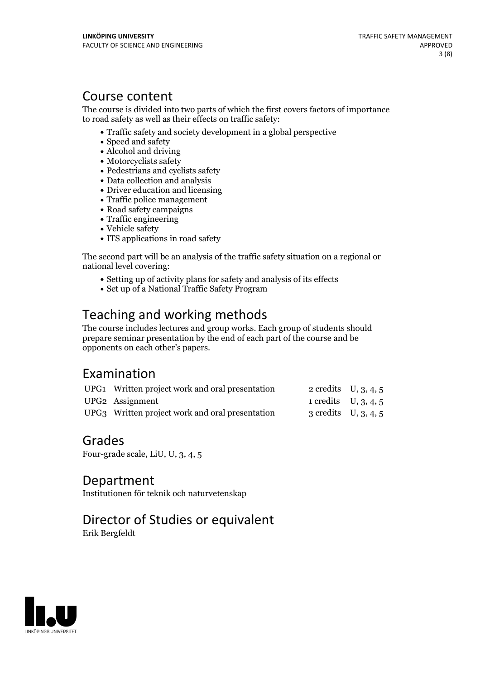### Course content

The course is divided into two parts of which the first covers factors of importance to road safety as well as their effects on traffic safety:

- Traffic safety and society development in a global perspective
- Speed and safety
- Alcohol and driving
- Motorcyclists safety
- Pedestrians and cyclists safety
- Data collection and analysis
- Driver education and licensing
- Traffic police management
- Road safety campaigns
- Traffic engineering
- Vehicle safety
- ITS applications in road safety

The second part will be an analysis of the traffic safety situation on a regional or national level covering:

- Setting up of activity plans for safety and analysis of its effects
- Set up of a National Traffic Safety Program

# Teaching and working methods

The course includes lectures and group works. Each group of students should prepare seminar presentation by the end of each part of the course and be opponents on each other's papers.

## Examination

| UPG1 Written project work and oral presentation | 2 credits $U, 3, 4, 5$ |                        |
|-------------------------------------------------|------------------------|------------------------|
| UPG2 Assignment                                 | 1 credits $U, 3, 4, 5$ |                        |
| UPG3 Written project work and oral presentation |                        | 3 credits $U, 3, 4, 5$ |

### Grades

Four-grade scale, LiU, U, 3, 4, 5

Department

Institutionen för teknik och naturvetenskap

### Director of Studies or equivalent

Erik Bergfeldt

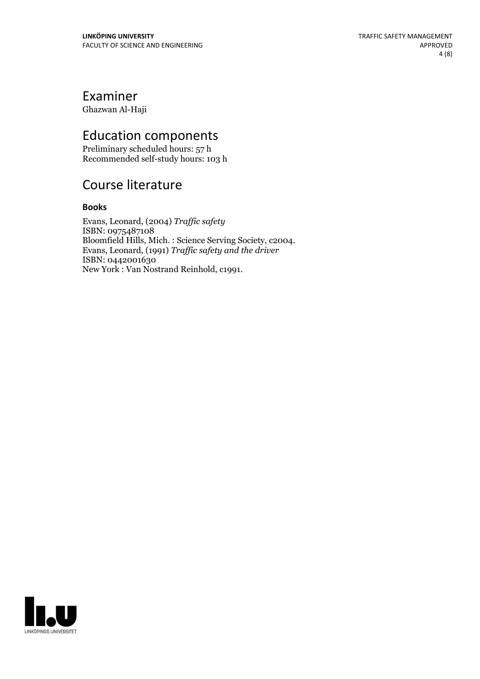# Examiner

Ghazwan Al-Haji

# Education components

Preliminary scheduled hours: 57 h Recommended self-study hours: 103 h

# Course literature

### **Books**

Evans, Leonard, (2004) *Traffic safety* ISBN: 0975487108 Bloomfield Hills, Mich. : Science Serving Society, c2004. Evans, Leonard, (1991) *Traf ic safety and the driver* ISBN: 0442001630 New York : Van Nostrand Reinhold, c1991.

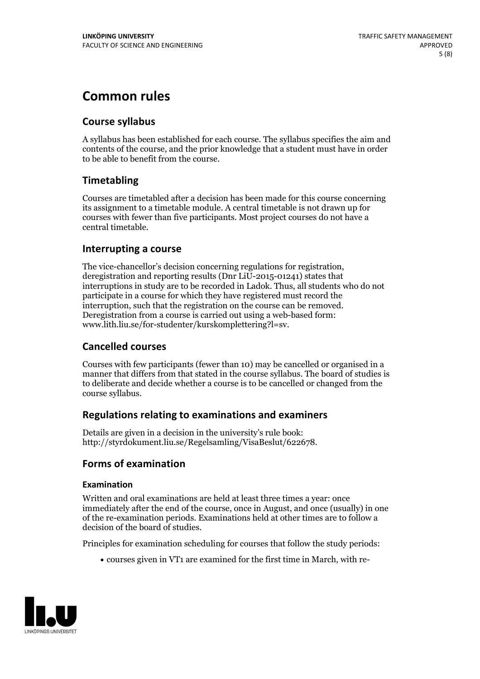# **Common rules**

### **Course syllabus**

A syllabus has been established for each course. The syllabus specifies the aim and contents of the course, and the prior knowledge that a student must have in order to be able to benefit from the course.

### **Timetabling**

Courses are timetabled after a decision has been made for this course concerning its assignment to a timetable module. A central timetable is not drawn up for courses with fewer than five participants. Most project courses do not have a central timetable.

### **Interrupting a course**

The vice-chancellor's decision concerning regulations for registration, deregistration and reporting results (Dnr LiU-2015-01241) states that interruptions in study are to be recorded in Ladok. Thus, all students who do not participate in a course for which they have registered must record the interruption, such that the registration on the course can be removed. Deregistration from <sup>a</sup> course is carried outusing <sup>a</sup> web-based form: www.lith.liu.se/for-studenter/kurskomplettering?l=sv.

### **Cancelled courses**

Courses with few participants (fewer than 10) may be cancelled or organised in a manner that differs from that stated in the course syllabus. The board of studies is to deliberate and decide whether a course is to be cancelled orchanged from the course syllabus.

### **Regulations relatingto examinations and examiners**

Details are given in a decision in the university's rule book: http://styrdokument.liu.se/Regelsamling/VisaBeslut/622678.

### **Forms of examination**

### **Examination**

Written and oral examinations are held at least three times a year: once immediately after the end of the course, once in August, and once (usually) in one of the re-examination periods. Examinations held at other times are to follow a decision of the board of studies.

Principles for examination scheduling for courses that follow the study periods:

courses given in VT1 are examined for the first time in March, with re-

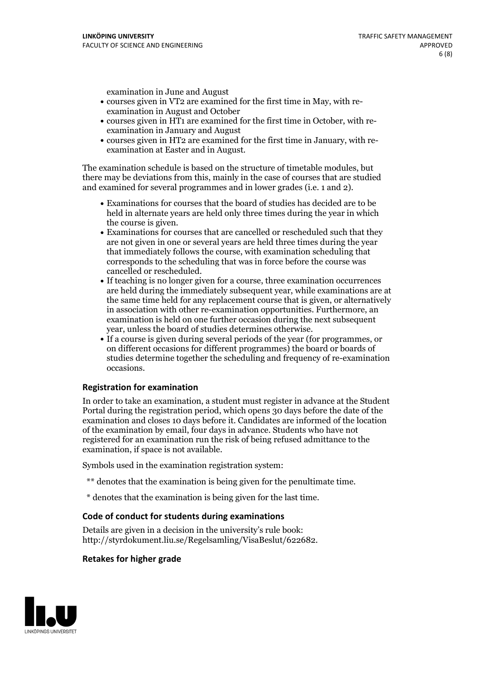examination in June and August

- courses given in VT2 are examined for the first time in May, with re-examination in August and October
- courses given in HT1 are examined for the first time in October, with re-examination in January and August
- courses given in HT2 are examined for the first time in January, with re-examination at Easter and in August.

The examination schedule is based on the structure of timetable modules, but there may be deviations from this, mainly in the case of courses that are studied and examined for several programmes and in lower grades (i.e. 1 and 2).

- Examinations for courses that the board of studies has decided are to be held in alternate years are held only three times during the year in which
- the course is given.<br>• Examinations for courses that are cancelled or rescheduled such that they are not given in one or several years are held three times during the year that immediately follows the course, with examination scheduling that corresponds to the scheduling that was in force before the course was cancelled or rescheduled.<br>• If teaching is no longer given for a course, three examination occurrences
- are held during the immediately subsequent year, while examinations are at the same time held for any replacement course that is given, or alternatively in association with other re-examination opportunities. Furthermore, an examination is held on one further occasion during the next subsequent year, unless the board of studies determines otherwise.<br>• If a course is given during several periods of the year (for programmes, or
- on different occasions for different programmes) the board orboards of studies determine together the scheduling and frequency of re-examination occasions.

#### **Registration for examination**

In order to take an examination, a student must register in advance at the Student Portal during the registration period, which opens 30 days before the date of the examination and closes 10 days before it. Candidates are informed of the location of the examination by email, four days in advance. Students who have not registered for an examination run the risk of being refused admittance to the examination, if space is not available.

Symbols used in the examination registration system:

- \*\* denotes that the examination is being given for the penultimate time.
- \* denotes that the examination is being given for the last time.

#### **Code of conduct for students during examinations**

Details are given in a decision in the university's rule book: http://styrdokument.liu.se/Regelsamling/VisaBeslut/622682.

#### **Retakes for higher grade**

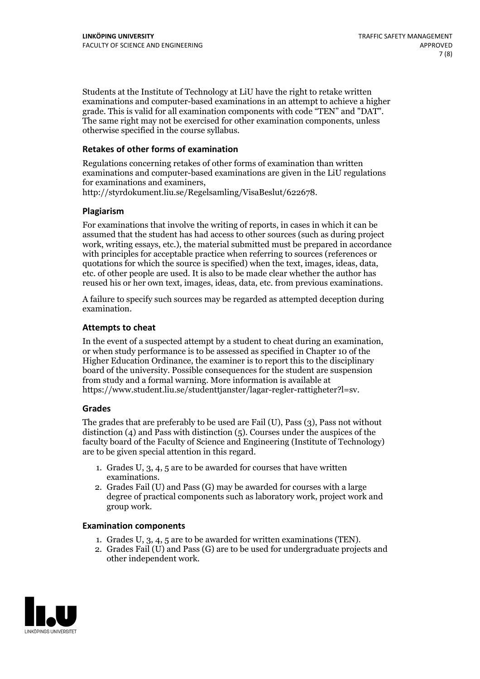Students at the Institute of Technology at LiU have the right to retake written examinations and computer-based examinations in an attempt to achieve a higher grade. This is valid for all examination components with code "TEN" and "DAT". The same right may not be exercised for other examination components, unless otherwise specified in the course syllabus.

#### **Retakes of other forms of examination**

Regulations concerning retakes of other forms of examination than written examinations and computer-based examinations are given in the LiU regulations for examinations and examiners, http://styrdokument.liu.se/Regelsamling/VisaBeslut/622678.

#### **Plagiarism**

For examinations that involve the writing of reports, in cases in which it can be assumed that the student has had access to other sources (such as during project work, writing essays, etc.), the material submitted must be prepared in accordance with principles for acceptable practice when referring to sources (references or quotations for which the source is specified) when the text, images, ideas, data, etc. of other people are used. It is also to be made clear whether the author has reused his or her own text, images, ideas, data, etc. from previous examinations.

A failure to specify such sources may be regarded as attempted deception during examination.

#### **Attempts to cheat**

In the event of <sup>a</sup> suspected attempt by <sup>a</sup> student to cheat during an examination, or when study performance is to be assessed as specified in Chapter <sup>10</sup> of the Higher Education Ordinance, the examiner is to report this to the disciplinary board of the university. Possible consequences for the student are suspension from study and a formal warning. More information is available at https://www.student.liu.se/studenttjanster/lagar-regler-rattigheter?l=sv.

#### **Grades**

The grades that are preferably to be used are Fail (U), Pass (3), Pass not without distinction  $(4)$  and Pass with distinction  $(5)$ . Courses under the auspices of the faculty board of the Faculty of Science and Engineering (Institute of Technology) are to be given special attention in this regard.

- 1. Grades U, 3, 4, 5 are to be awarded for courses that have written
- examinations. 2. Grades Fail (U) and Pass (G) may be awarded for courses with <sup>a</sup> large degree of practical components such as laboratory work, project work and group work.

#### **Examination components**

- 
- 1. Grades U, 3, 4, <sup>5</sup> are to be awarded for written examinations (TEN). 2. Grades Fail (U) and Pass (G) are to be used for undergraduate projects and other independent work.